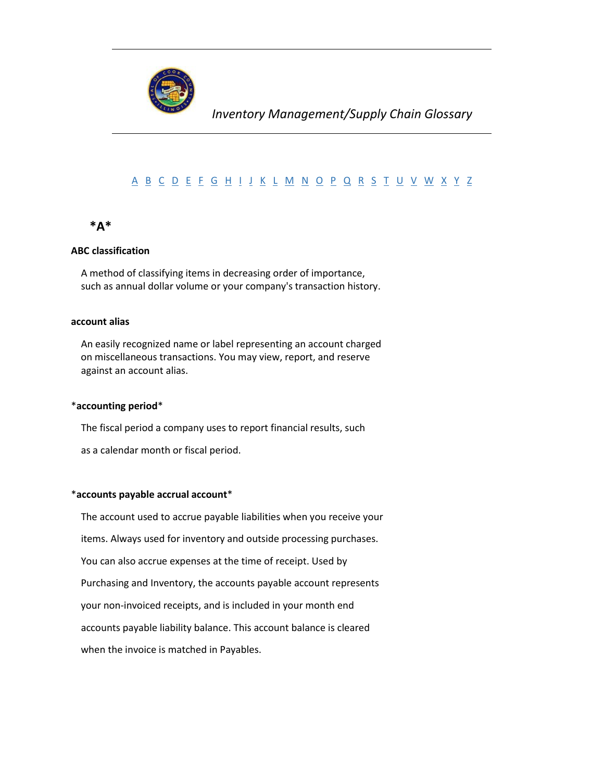

# [A](#page-0-0) [B](#page-3-0) [C](#page-5-0) [D](#page-10-0) [E](#page-12-0) [F](#page-12-1) [G](#page-18-0) [H](#page-18-1) [I](#page-19-0) [J](#page-21-0) [K](#page-21-1) [L](#page-21-2) [M](#page-23-0) [N](#page-26-0) [O](#page-27-0) [P](#page-28-0) [Q](#page-34-0) [R](#page-34-1) [S](#page-37-0) [T](#page-41-0) [U](#page-42-0) [V](#page-43-0) [W](#page-43-1) [X](#page-44-0) [Y](#page-44-1) [Z](#page-44-2)

# <span id="page-0-0"></span> **\*A\***

## **ABC classification**

 A method of classifying items in decreasing order of importance, such as annual dollar volume or your company's transaction history.

## **account alias**

 An easily recognized name or label representing an account charged on miscellaneous transactions. You may view, report, and reserve against an account alias.

#### \***accounting period**\*

The fiscal period a company uses to report financial results, such

as a calendar month or fiscal period.

#### \***accounts payable accrual account**\*

 The account used to accrue payable liabilities when you receive your items. Always used for inventory and outside processing purchases. You can also accrue expenses at the time of receipt. Used by Purchasing and Inventory, the accounts payable account represents your non-invoiced receipts, and is included in your month end accounts payable liability balance. This account balance is cleared when the invoice is matched in Payables.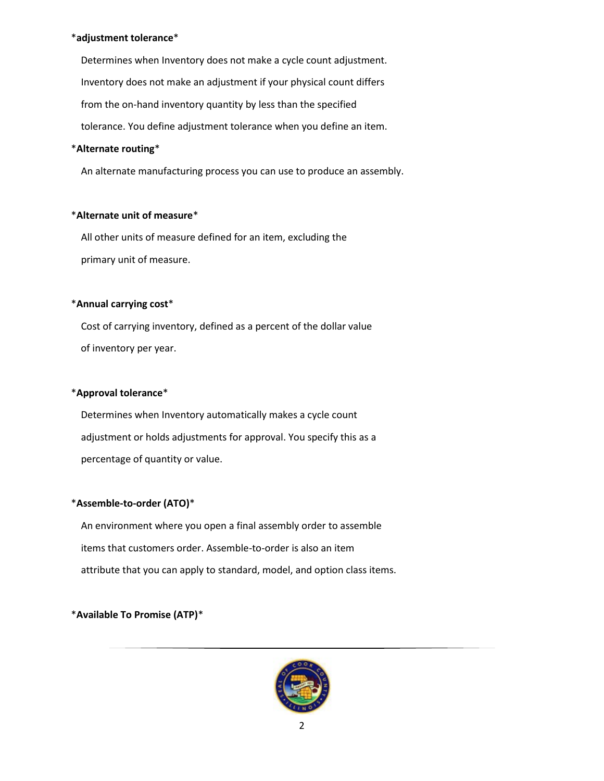## \***adjustment tolerance**\*

 Determines when Inventory does not make a cycle count adjustment. Inventory does not make an adjustment if your physical count differs from the on-hand inventory quantity by less than the specified tolerance. You define adjustment tolerance when you define an item.

## \***Alternate routing**\*

An alternate manufacturing process you can use to produce an assembly.

## \***Alternate unit of measure**\*

 All other units of measure defined for an item, excluding the primary unit of measure.

## \***Annual carrying cost**\*

 Cost of carrying inventory, defined as a percent of the dollar value of inventory per year.

## \***Approval tolerance**\*

 Determines when Inventory automatically makes a cycle count adjustment or holds adjustments for approval. You specify this as a percentage of quantity or value.

# \***Assemble-to-order (ATO)**\*

 An environment where you open a final assembly order to assemble items that customers order. Assemble-to-order is also an item attribute that you can apply to standard, model, and option class items.

# \***Available To Promise (ATP)**\*

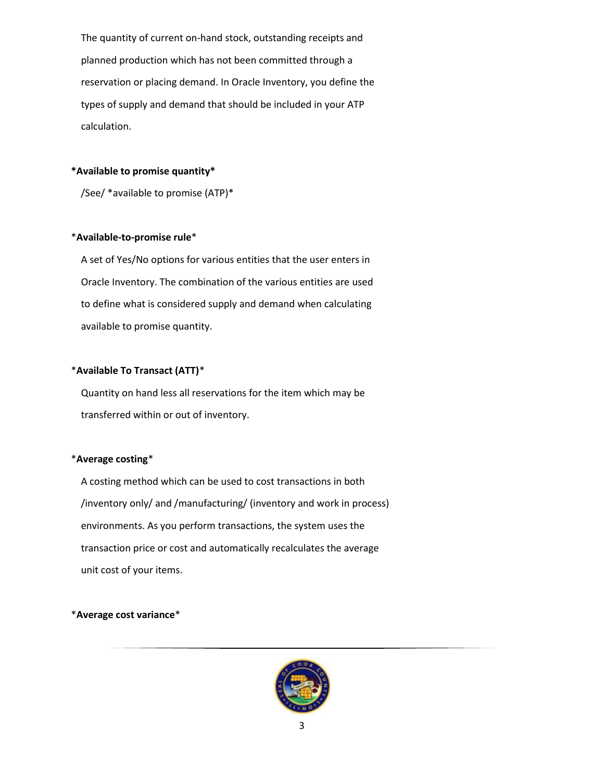The quantity of current on-hand stock, outstanding receipts and planned production which has not been committed through a reservation or placing demand. In Oracle Inventory, you define the types of supply and demand that should be included in your ATP calculation.

#### **\*Available to promise quantity\***

/See/ \*available to promise (ATP)\*

### \***Available-to-promise rule**\*

 A set of Yes/No options for various entities that the user enters in Oracle Inventory. The combination of the various entities are used to define what is considered supply and demand when calculating available to promise quantity.

## \***Available To Transact (ATT)**\*

 Quantity on hand less all reservations for the item which may be transferred within or out of inventory.

## \***Average costing**\*

 A costing method which can be used to cost transactions in both /inventory only/ and /manufacturing/ (inventory and work in process) environments. As you perform transactions, the system uses the transaction price or cost and automatically recalculates the average unit cost of your items.

#### \***Average cost variance**\*

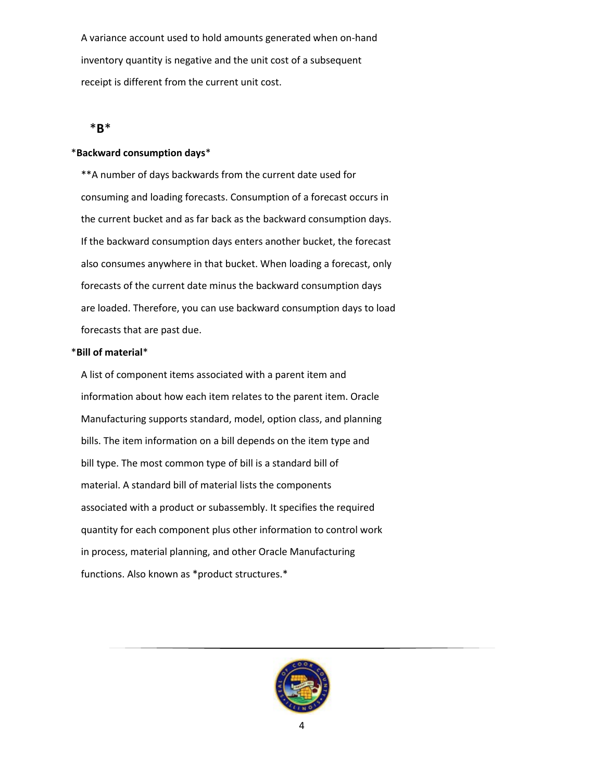A variance account used to hold amounts generated when on-hand inventory quantity is negative and the unit cost of a subsequent receipt is different from the current unit cost.

## <span id="page-3-0"></span>\***B**\*

#### \***Backward consumption days**\*

 \*\*A number of days backwards from the current date used for consuming and loading forecasts. Consumption of a forecast occurs in the current bucket and as far back as the backward consumption days. If the backward consumption days enters another bucket, the forecast also consumes anywhere in that bucket. When loading a forecast, only forecasts of the current date minus the backward consumption days are loaded. Therefore, you can use backward consumption days to load forecasts that are past due.

#### \***Bill of material**\*

 A list of component items associated with a parent item and information about how each item relates to the parent item. Oracle Manufacturing supports standard, model, option class, and planning bills. The item information on a bill depends on the item type and bill type. The most common type of bill is a standard bill of material. A standard bill of material lists the components associated with a product or subassembly. It specifies the required quantity for each component plus other information to control work in process, material planning, and other Oracle Manufacturing functions. Also known as \*product structures.\*

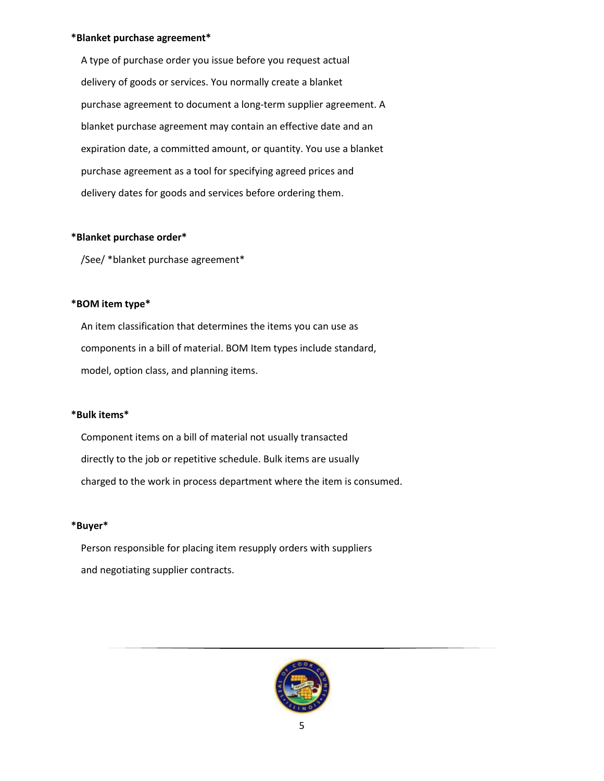#### **\*Blanket purchase agreement\***

 A type of purchase order you issue before you request actual delivery of goods or services. You normally create a blanket purchase agreement to document a long-term supplier agreement. A blanket purchase agreement may contain an effective date and an expiration date, a committed amount, or quantity. You use a blanket purchase agreement as a tool for specifying agreed prices and delivery dates for goods and services before ordering them.

#### **\*Blanket purchase order\***

/See/ \*blanket purchase agreement\*

## **\*BOM item type\***

 An item classification that determines the items you can use as components in a bill of material. BOM Item types include standard, model, option class, and planning items.

#### **\*Bulk items\***

 Component items on a bill of material not usually transacted directly to the job or repetitive schedule. Bulk items are usually charged to the work in process department where the item is consumed.

#### **\*Buyer\***

 Person responsible for placing item resupply orders with suppliers and negotiating supplier contracts.

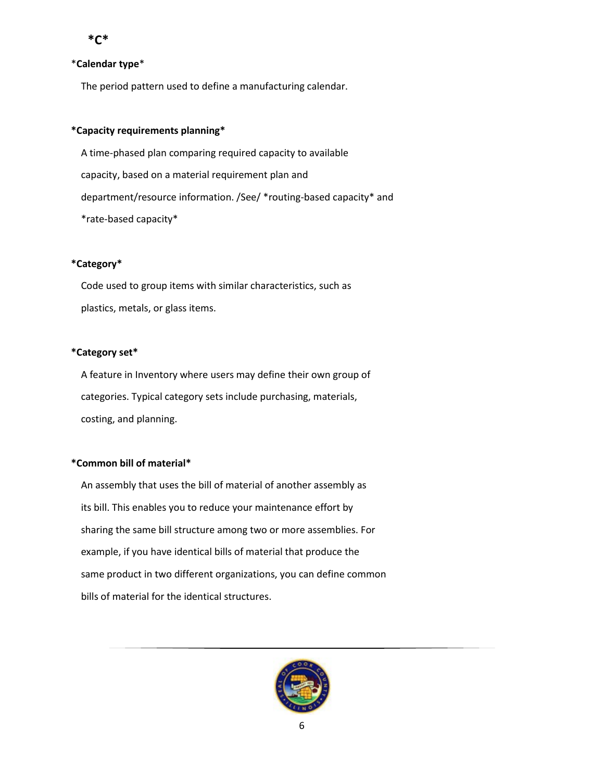### <span id="page-5-0"></span>\***Calendar type**\*

The period pattern used to define a manufacturing calendar.

## **\*Capacity requirements planning\***

 A time-phased plan comparing required capacity to available capacity, based on a material requirement plan and department/resource information. /See/ \*routing-based capacity\* and \*rate-based capacity\*

## **\*Category\***

 Code used to group items with similar characteristics, such as plastics, metals, or glass items.

## **\*Category set\***

 A feature in Inventory where users may define their own group of categories. Typical category sets include purchasing, materials, costing, and planning.

## **\*Common bill of material\***

 An assembly that uses the bill of material of another assembly as its bill. This enables you to reduce your maintenance effort by sharing the same bill structure among two or more assemblies. For example, if you have identical bills of material that produce the same product in two different organizations, you can define common bills of material for the identical structures.

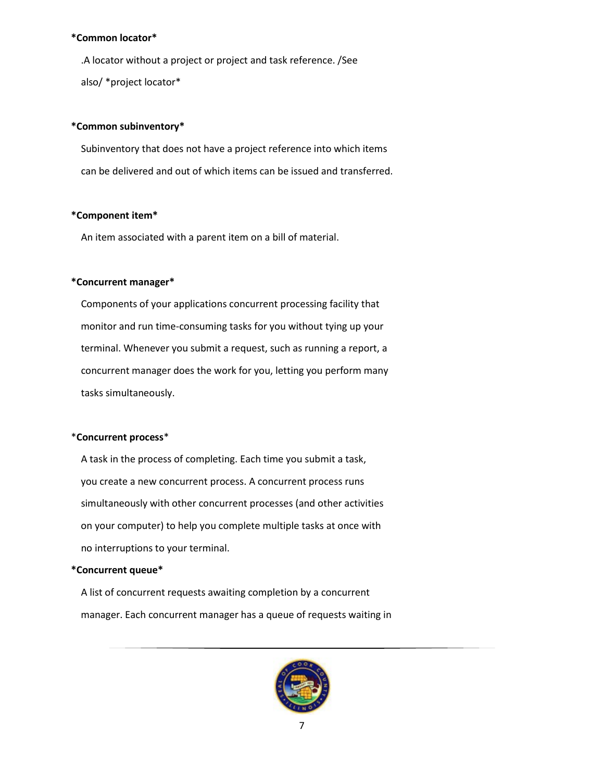#### **\*Common locator\***

 .A locator without a project or project and task reference. /See also/ \*project locator\*

#### **\*Common subinventory\***

 Subinventory that does not have a project reference into which items can be delivered and out of which items can be issued and transferred.

### **\*Component item\***

An item associated with a parent item on a bill of material.

### **\*Concurrent manager\***

 Components of your applications concurrent processing facility that monitor and run time-consuming tasks for you without tying up your terminal. Whenever you submit a request, such as running a report, a concurrent manager does the work for you, letting you perform many tasks simultaneously.

## \***Concurrent process**\*

 A task in the process of completing. Each time you submit a task, you create a new concurrent process. A concurrent process runs simultaneously with other concurrent processes (and other activities on your computer) to help you complete multiple tasks at once with no interruptions to your terminal.

#### **\*Concurrent queue\***

 A list of concurrent requests awaiting completion by a concurrent manager. Each concurrent manager has a queue of requests waiting in

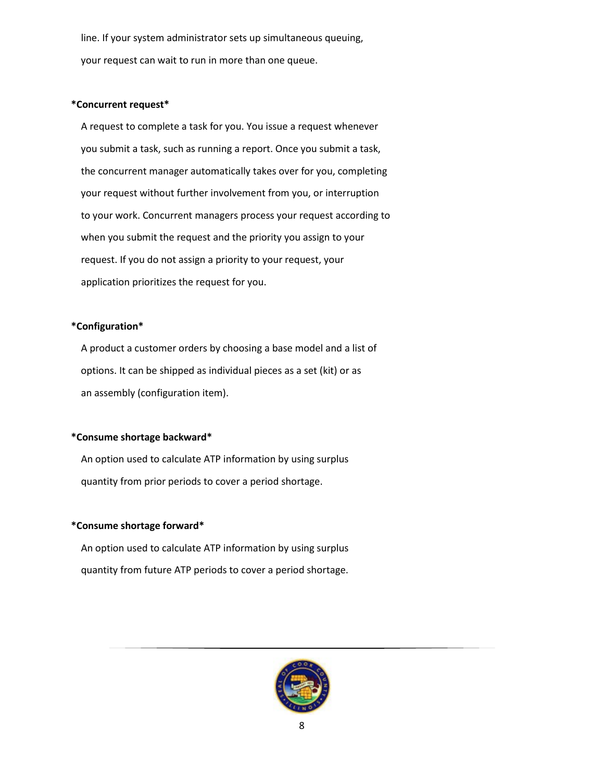line. If your system administrator sets up simultaneous queuing, your request can wait to run in more than one queue.

#### **\*Concurrent request\***

 A request to complete a task for you. You issue a request whenever you submit a task, such as running a report. Once you submit a task, the concurrent manager automatically takes over for you, completing your request without further involvement from you, or interruption to your work. Concurrent managers process your request according to when you submit the request and the priority you assign to your request. If you do not assign a priority to your request, your application prioritizes the request for you.

### **\*Configuration\***

 A product a customer orders by choosing a base model and a list of options. It can be shipped as individual pieces as a set (kit) or as an assembly (configuration item).

## **\*Consume shortage backward\***

 An option used to calculate ATP information by using surplus quantity from prior periods to cover a period shortage.

## **\*Consume shortage forward\***

 An option used to calculate ATP information by using surplus quantity from future ATP periods to cover a period shortage.

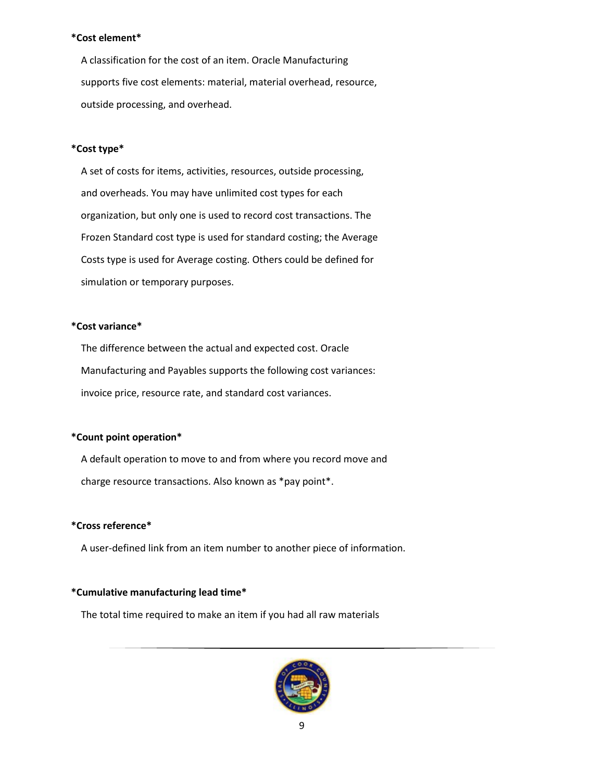#### **\*Cost element\***

 A classification for the cost of an item. Oracle Manufacturing supports five cost elements: material, material overhead, resource, outside processing, and overhead.

## **\*Cost type\***

 A set of costs for items, activities, resources, outside processing, and overheads. You may have unlimited cost types for each organization, but only one is used to record cost transactions. The Frozen Standard cost type is used for standard costing; the Average Costs type is used for Average costing. Others could be defined for simulation or temporary purposes.

## **\*Cost variance\***

 The difference between the actual and expected cost. Oracle Manufacturing and Payables supports the following cost variances: invoice price, resource rate, and standard cost variances.

#### **\*Count point operation\***

 A default operation to move to and from where you record move and charge resource transactions. Also known as \*pay point\*.

## **\*Cross reference\***

A user-defined link from an item number to another piece of information.

### **\*Cumulative manufacturing lead time\***

The total time required to make an item if you had all raw materials

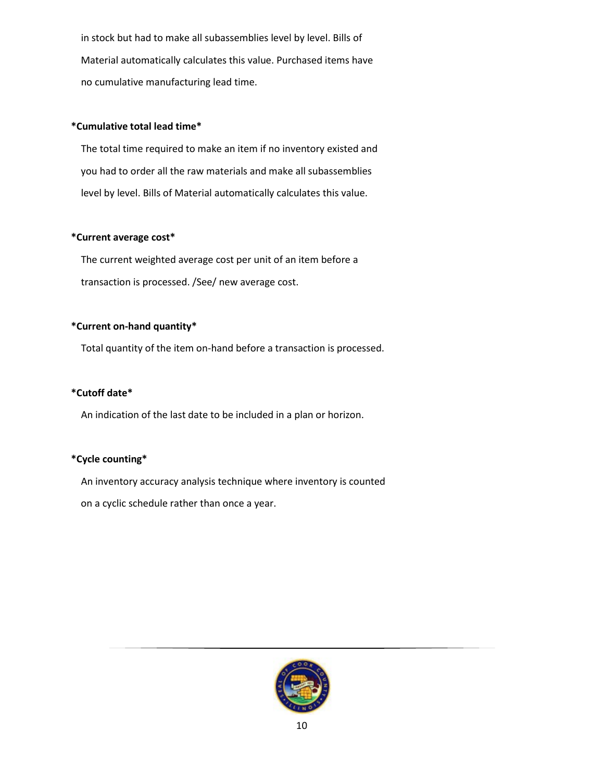in stock but had to make all subassemblies level by level. Bills of Material automatically calculates this value. Purchased items have no cumulative manufacturing lead time.

## **\*Cumulative total lead time\***

 The total time required to make an item if no inventory existed and you had to order all the raw materials and make all subassemblies level by level. Bills of Material automatically calculates this value.

## **\*Current average cost\***

 The current weighted average cost per unit of an item before a transaction is processed. /See/ new average cost.

## **\*Current on-hand quantity\***

Total quantity of the item on-hand before a transaction is processed.

## **\*Cutoff date\***

An indication of the last date to be included in a plan or horizon.

## **\*Cycle counting\***

 An inventory accuracy analysis technique where inventory is counted on a cyclic schedule rather than once a year.

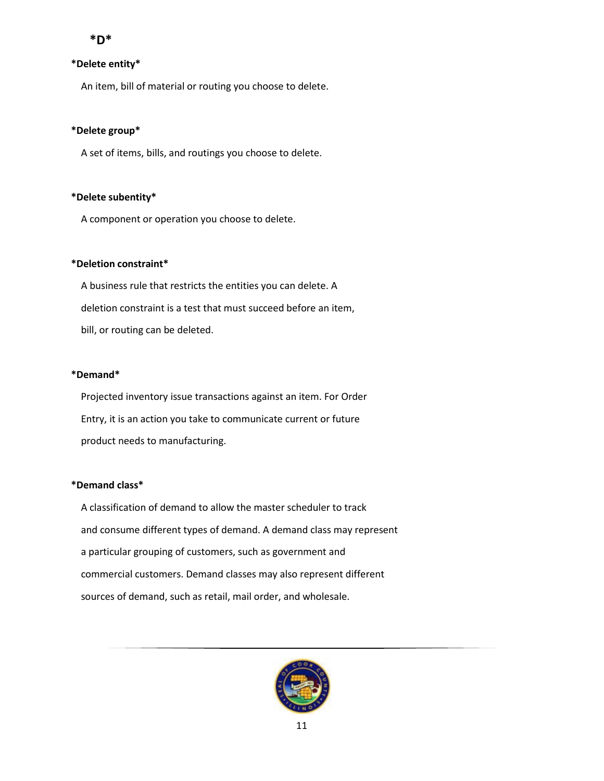## <span id="page-10-0"></span> **\*D\***

## **\*Delete entity\***

An item, bill of material or routing you choose to delete.

### **\*Delete group\***

A set of items, bills, and routings you choose to delete.

### **\*Delete subentity\***

A component or operation you choose to delete.

### **\*Deletion constraint\***

 A business rule that restricts the entities you can delete. A deletion constraint is a test that must succeed before an item, bill, or routing can be deleted.

## **\*Demand\***

 Projected inventory issue transactions against an item. For Order Entry, it is an action you take to communicate current or future product needs to manufacturing.

## **\*Demand class\***

 A classification of demand to allow the master scheduler to track and consume different types of demand. A demand class may represent a particular grouping of customers, such as government and commercial customers. Demand classes may also represent different sources of demand, such as retail, mail order, and wholesale.

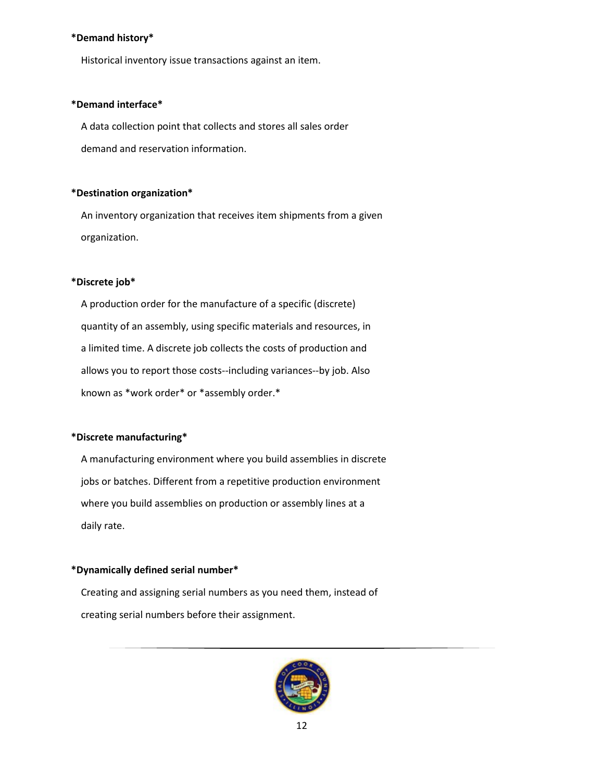#### **\*Demand history\***

Historical inventory issue transactions against an item.

### **\*Demand interface\***

 A data collection point that collects and stores all sales order demand and reservation information.

### **\*Destination organization\***

 An inventory organization that receives item shipments from a given organization.

### **\*Discrete job\***

 A production order for the manufacture of a specific (discrete) quantity of an assembly, using specific materials and resources, in a limited time. A discrete job collects the costs of production and allows you to report those costs--including variances--by job. Also known as \*work order\* or \*assembly order.\*

## **\*Discrete manufacturing\***

 A manufacturing environment where you build assemblies in discrete jobs or batches. Different from a repetitive production environment where you build assemblies on production or assembly lines at a daily rate.

## **\*Dynamically defined serial number\***

 Creating and assigning serial numbers as you need them, instead of creating serial numbers before their assignment.

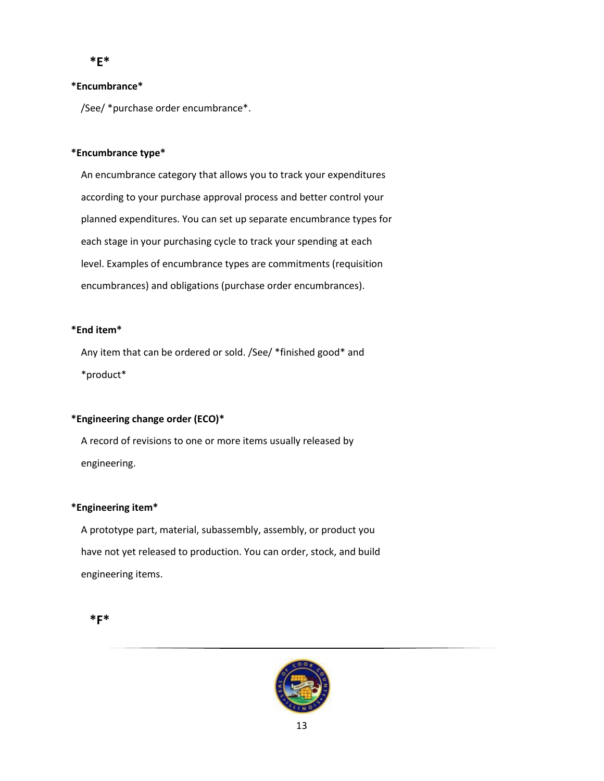<span id="page-12-0"></span> **\*E\***

### **\*Encumbrance\***

/See/ \*purchase order encumbrance\*.

## **\*Encumbrance type\***

 An encumbrance category that allows you to track your expenditures according to your purchase approval process and better control your planned expenditures. You can set up separate encumbrance types for each stage in your purchasing cycle to track your spending at each level. Examples of encumbrance types are commitments (requisition encumbrances) and obligations (purchase order encumbrances).

### **\*End item\***

 Any item that can be ordered or sold. /See/ \*finished good\* and \*product\*

## **\*Engineering change order (ECO)\***

 A record of revisions to one or more items usually released by engineering.

#### **\*Engineering item\***

 A prototype part, material, subassembly, assembly, or product you have not yet released to production. You can order, stock, and build engineering items.

# <span id="page-12-1"></span> **\*F\***

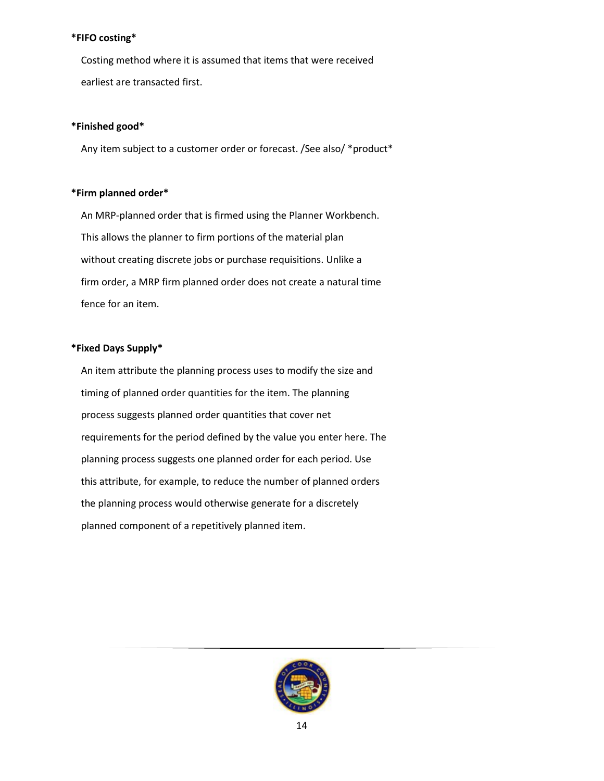## **\*FIFO costing\***

 Costing method where it is assumed that items that were received earliest are transacted first.

### **\*Finished good\***

Any item subject to a customer order or forecast. /See also/ \*product\*

### **\*Firm planned order\***

 An MRP-planned order that is firmed using the Planner Workbench. This allows the planner to firm portions of the material plan without creating discrete jobs or purchase requisitions. Unlike a firm order, a MRP firm planned order does not create a natural time fence for an item.

### **\*Fixed Days Supply\***

 An item attribute the planning process uses to modify the size and timing of planned order quantities for the item. The planning process suggests planned order quantities that cover net requirements for the period defined by the value you enter here. The planning process suggests one planned order for each period. Use this attribute, for example, to reduce the number of planned orders the planning process would otherwise generate for a discretely planned component of a repetitively planned item.

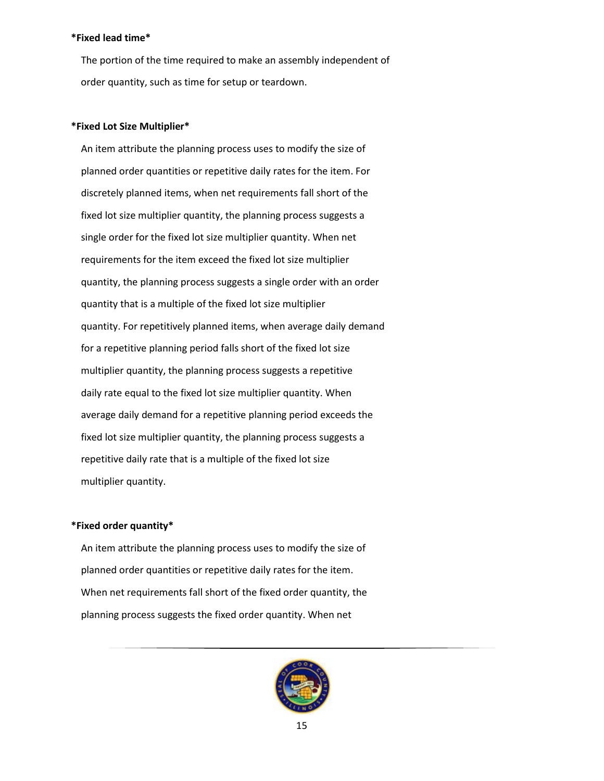### **\*Fixed lead time\***

 The portion of the time required to make an assembly independent of order quantity, such as time for setup or teardown.

#### **\*Fixed Lot Size Multiplier\***

 An item attribute the planning process uses to modify the size of planned order quantities or repetitive daily rates for the item. For discretely planned items, when net requirements fall short of the fixed lot size multiplier quantity, the planning process suggests a single order for the fixed lot size multiplier quantity. When net requirements for the item exceed the fixed lot size multiplier quantity, the planning process suggests a single order with an order quantity that is a multiple of the fixed lot size multiplier quantity. For repetitively planned items, when average daily demand for a repetitive planning period falls short of the fixed lot size multiplier quantity, the planning process suggests a repetitive daily rate equal to the fixed lot size multiplier quantity. When average daily demand for a repetitive planning period exceeds the fixed lot size multiplier quantity, the planning process suggests a repetitive daily rate that is a multiple of the fixed lot size multiplier quantity.

#### **\*Fixed order quantity\***

 An item attribute the planning process uses to modify the size of planned order quantities or repetitive daily rates for the item. When net requirements fall short of the fixed order quantity, the planning process suggests the fixed order quantity. When net

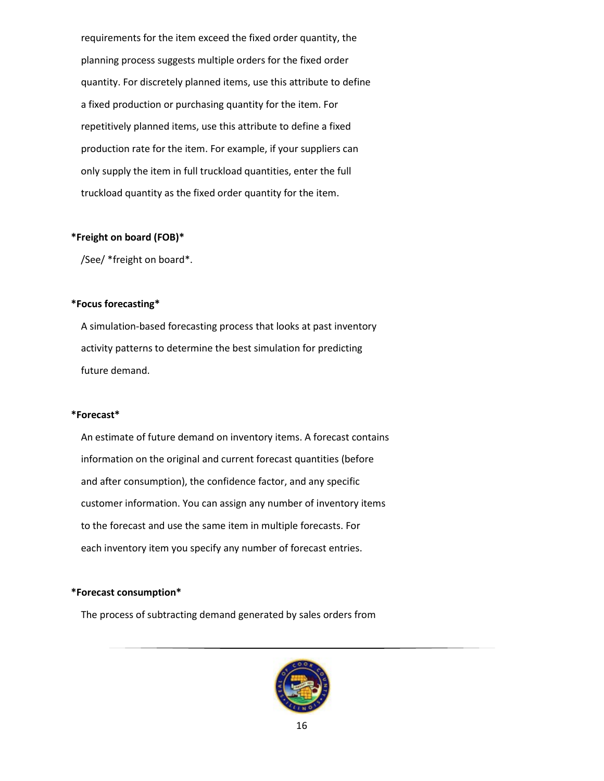requirements for the item exceed the fixed order quantity, the planning process suggests multiple orders for the fixed order quantity. For discretely planned items, use this attribute to define a fixed production or purchasing quantity for the item. For repetitively planned items, use this attribute to define a fixed production rate for the item. For example, if your suppliers can only supply the item in full truckload quantities, enter the full truckload quantity as the fixed order quantity for the item.

#### **\*Freight on board (FOB)\***

/See/ \*freight on board\*.

## **\*Focus forecasting\***

 A simulation-based forecasting process that looks at past inventory activity patterns to determine the best simulation for predicting future demand.

#### **\*Forecast\***

 An estimate of future demand on inventory items. A forecast contains information on the original and current forecast quantities (before and after consumption), the confidence factor, and any specific customer information. You can assign any number of inventory items to the forecast and use the same item in multiple forecasts. For each inventory item you specify any number of forecast entries.

#### **\*Forecast consumption\***

The process of subtracting demand generated by sales orders from

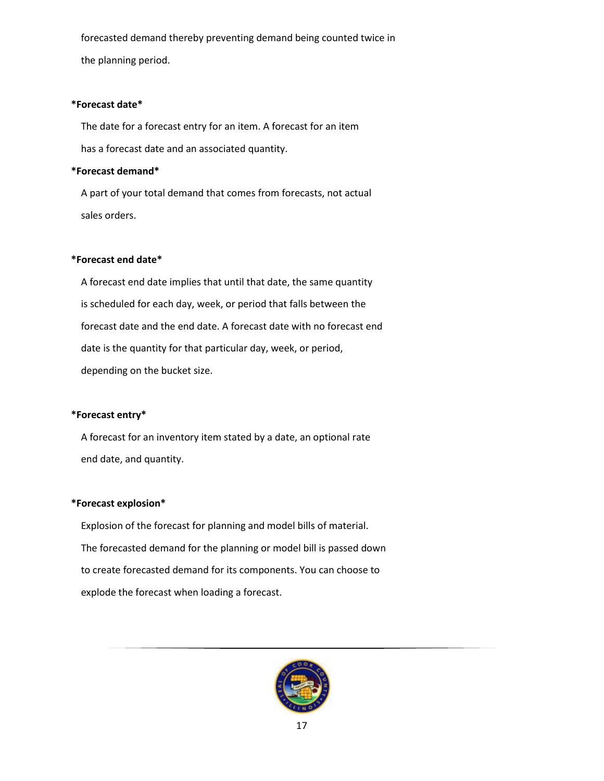forecasted demand thereby preventing demand being counted twice in the planning period.

### **\*Forecast date\***

 The date for a forecast entry for an item. A forecast for an item has a forecast date and an associated quantity.

## **\*Forecast demand\***

 A part of your total demand that comes from forecasts, not actual sales orders.

## **\*Forecast end date\***

 A forecast end date implies that until that date, the same quantity is scheduled for each day, week, or period that falls between the forecast date and the end date. A forecast date with no forecast end date is the quantity for that particular day, week, or period, depending on the bucket size.

#### **\*Forecast entry\***

 A forecast for an inventory item stated by a date, an optional rate end date, and quantity.

#### **\*Forecast explosion\***

 Explosion of the forecast for planning and model bills of material. The forecasted demand for the planning or model bill is passed down to create forecasted demand for its components. You can choose to explode the forecast when loading a forecast.

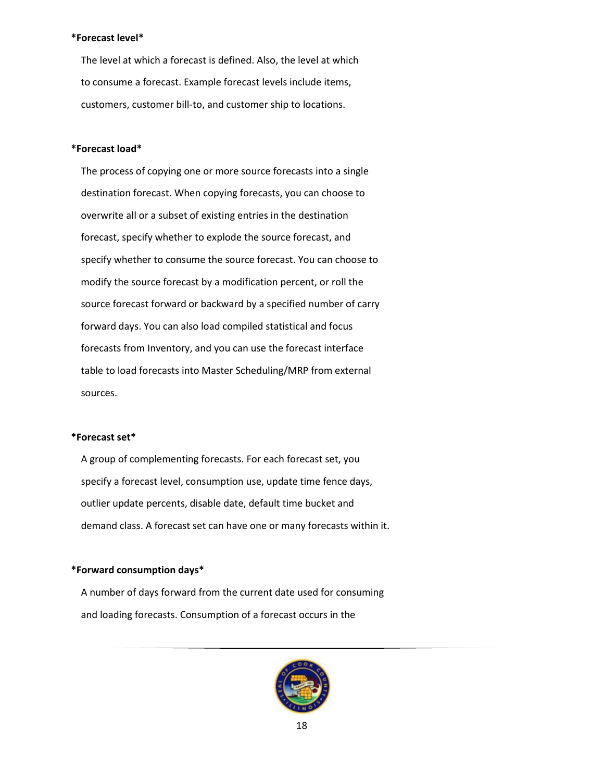#### **\*Forecast level\***

 The level at which a forecast is defined. Also, the level at which to consume a forecast. Example forecast levels include items, customers, customer bill-to, and customer ship to locations.

#### **\*Forecast load\***

 The process of copying one or more source forecasts into a single destination forecast. When copying forecasts, you can choose to overwrite all or a subset of existing entries in the destination forecast, specify whether to explode the source forecast, and specify whether to consume the source forecast. You can choose to modify the source forecast by a modification percent, or roll the source forecast forward or backward by a specified number of carry forward days. You can also load compiled statistical and focus forecasts from Inventory, and you can use the forecast interface table to load forecasts into Master Scheduling/MRP from external sources.

#### **\*Forecast set\***

 A group of complementing forecasts. For each forecast set, you specify a forecast level, consumption use, update time fence days, outlier update percents, disable date, default time bucket and demand class. A forecast set can have one or many forecasts within it.

#### **\*Forward consumption days\***

 A number of days forward from the current date used for consuming and loading forecasts. Consumption of a forecast occurs in the

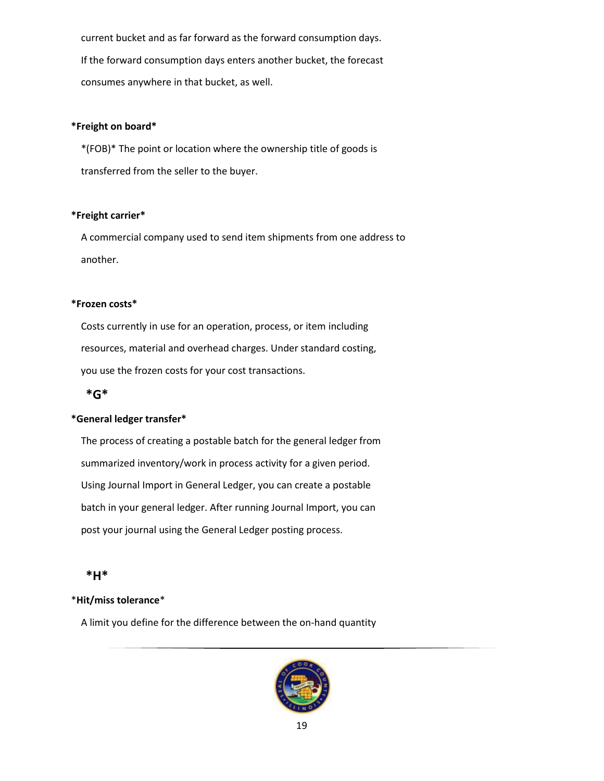current bucket and as far forward as the forward consumption days. If the forward consumption days enters another bucket, the forecast consumes anywhere in that bucket, as well.

### **\*Freight on board\***

 \*(FOB)\* The point or location where the ownership title of goods is transferred from the seller to the buyer.

### **\*Freight carrier\***

 A commercial company used to send item shipments from one address to another.

### **\*Frozen costs\***

 Costs currently in use for an operation, process, or item including resources, material and overhead charges. Under standard costing, you use the frozen costs for your cost transactions.

## <span id="page-18-0"></span>**\*G\***

## **\*General ledger transfer\***

 The process of creating a postable batch for the general ledger from summarized inventory/work in process activity for a given period. Using Journal Import in General Ledger, you can create a postable batch in your general ledger. After running Journal Import, you can post your journal using the General Ledger posting process.

## <span id="page-18-1"></span>**\*H\***

## \***Hit/miss tolerance**\*

A limit you define for the difference between the on-hand quantity

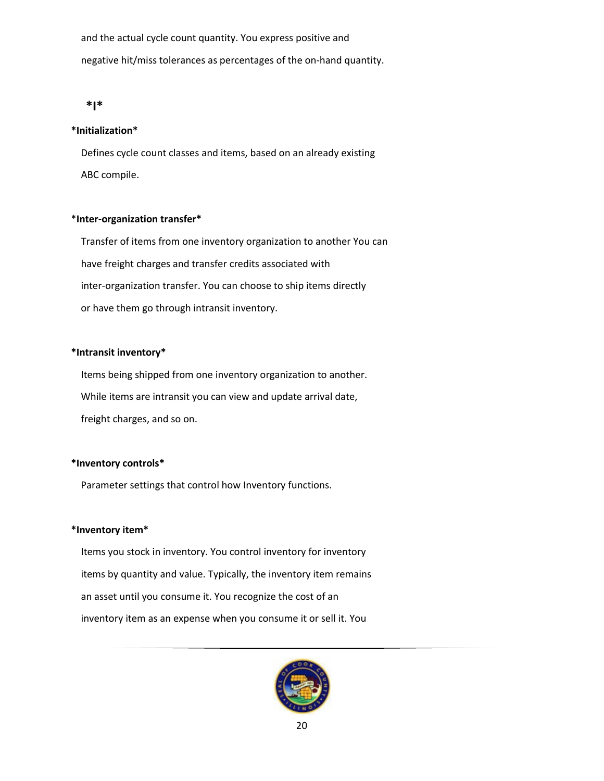and the actual cycle count quantity. You express positive and negative hit/miss tolerances as percentages of the on-hand quantity.

#### <span id="page-19-0"></span>**\*I\***

#### **\*Initialization\***

 Defines cycle count classes and items, based on an already existing ABC compile.

### \***Inter-organization transfer\***

 Transfer of items from one inventory organization to another You can have freight charges and transfer credits associated with inter-organization transfer. You can choose to ship items directly or have them go through intransit inventory.

## **\*Intransit inventory\***

 Items being shipped from one inventory organization to another. While items are intransit you can view and update arrival date, freight charges, and so on.

#### **\*Inventory controls\***

Parameter settings that control how Inventory functions.

#### **\*Inventory item\***

 Items you stock in inventory. You control inventory for inventory items by quantity and value. Typically, the inventory item remains an asset until you consume it. You recognize the cost of an inventory item as an expense when you consume it or sell it. You

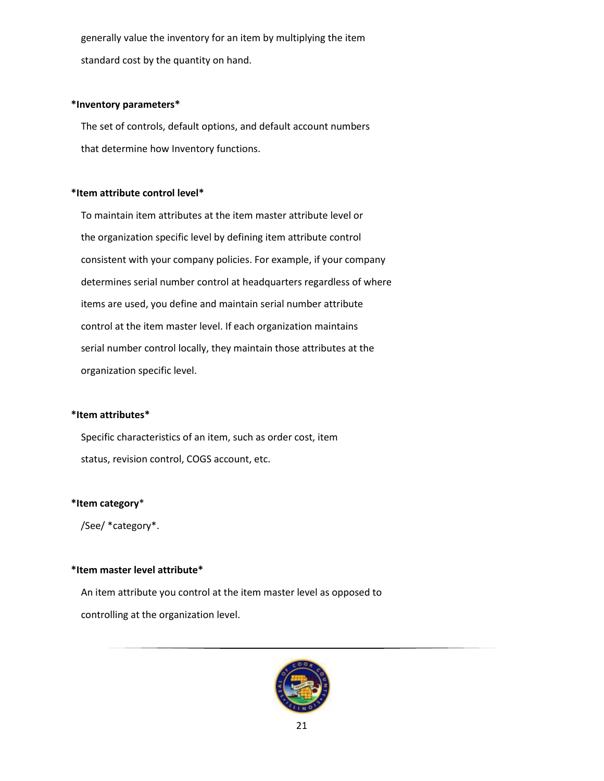generally value the inventory for an item by multiplying the item standard cost by the quantity on hand.

#### **\*Inventory parameters\***

 The set of controls, default options, and default account numbers that determine how Inventory functions.

## **\*Item attribute control level\***

 To maintain item attributes at the item master attribute level or the organization specific level by defining item attribute control consistent with your company policies. For example, if your company determines serial number control at headquarters regardless of where items are used, you define and maintain serial number attribute control at the item master level. If each organization maintains serial number control locally, they maintain those attributes at the organization specific level.

#### **\*Item attributes\***

 Specific characteristics of an item, such as order cost, item status, revision control, COGS account, etc.

#### **\*Item category**\*

/See/ \*category\*.

## **\*Item master level attribute\***

 An item attribute you control at the item master level as opposed to controlling at the organization level.

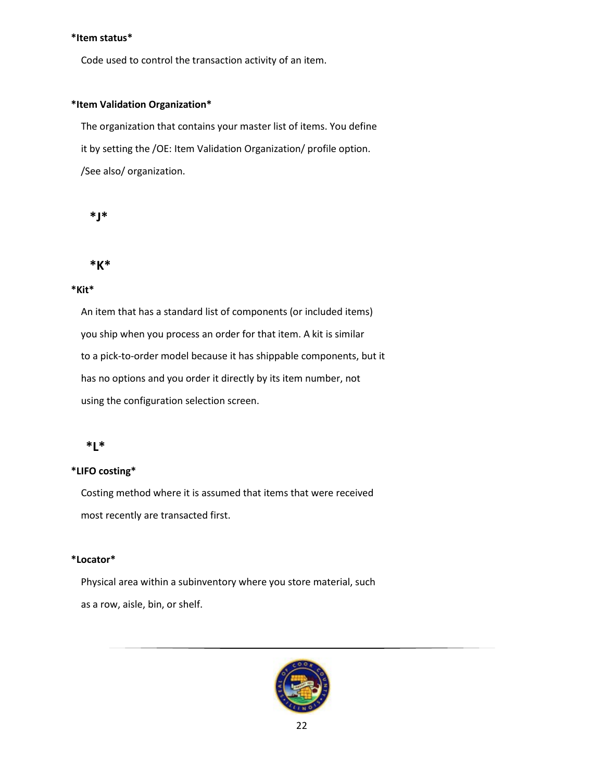### **\*Item status\***

Code used to control the transaction activity of an item.

## **\*Item Validation Organization\***

 The organization that contains your master list of items. You define it by setting the /OE: Item Validation Organization/ profile option. /See also/ organization.

```
 *J*
```
<span id="page-21-1"></span>

## **\*Kit\***

 An item that has a standard list of components (or included items) you ship when you process an order for that item. A kit is similar to a pick-to-order model because it has shippable components, but it has no options and you order it directly by its item number, not using the configuration selection screen.

# <span id="page-21-2"></span>**\*L\***

## **\*LIFO costing\***

 Costing method where it is assumed that items that were received most recently are transacted first.

## **\*Locator\***

 Physical area within a subinventory where you store material, such as a row, aisle, bin, or shelf.

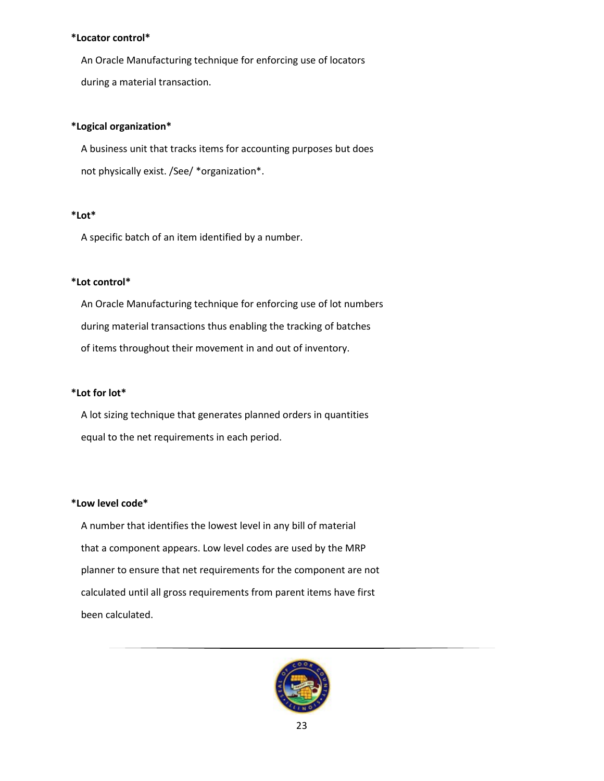## **\*Locator control\***

 An Oracle Manufacturing technique for enforcing use of locators during a material transaction.

## **\*Logical organization\***

 A business unit that tracks items for accounting purposes but does not physically exist. /See/ \*organization\*.

## **\*Lot\***

A specific batch of an item identified by a number.

## **\*Lot control\***

 An Oracle Manufacturing technique for enforcing use of lot numbers during material transactions thus enabling the tracking of batches of items throughout their movement in and out of inventory.

## **\*Lot for lot\***

 A lot sizing technique that generates planned orders in quantities equal to the net requirements in each period.

## **\*Low level code\***

 A number that identifies the lowest level in any bill of material that a component appears. Low level codes are used by the MRP planner to ensure that net requirements for the component are not calculated until all gross requirements from parent items have first been calculated.

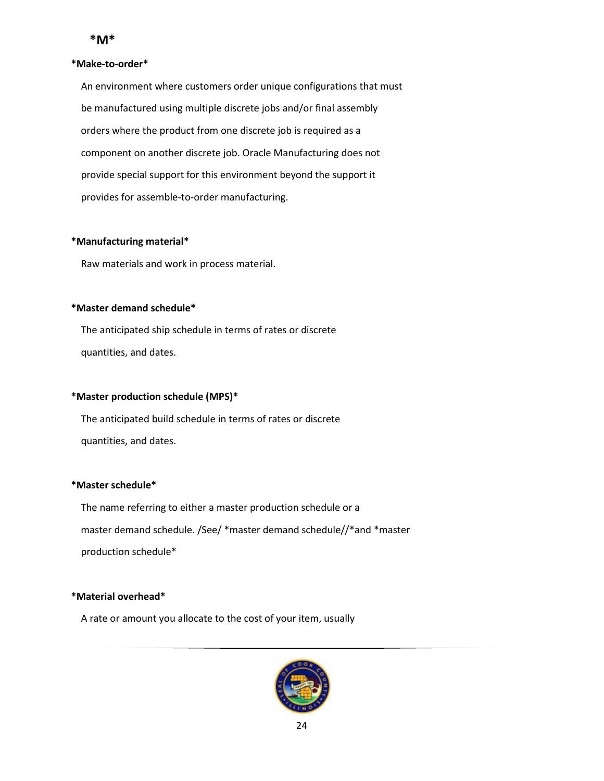#### <span id="page-23-0"></span>**\*Make-to-order\***

 An environment where customers order unique configurations that must be manufactured using multiple discrete jobs and/or final assembly orders where the product from one discrete job is required as a component on another discrete job. Oracle Manufacturing does not provide special support for this environment beyond the support it provides for assemble-to-order manufacturing.

## **\*Manufacturing material\***

Raw materials and work in process material.

### **\*Master demand schedule\***

 The anticipated ship schedule in terms of rates or discrete quantities, and dates.

## **\*Master production schedule (MPS)\***

 The anticipated build schedule in terms of rates or discrete quantities, and dates.

#### **\*Master schedule\***

 The name referring to either a master production schedule or a master demand schedule. /See/ \*master demand schedule//\*and \*master production schedule\*

## **\*Material overhead\***

A rate or amount you allocate to the cost of your item, usually

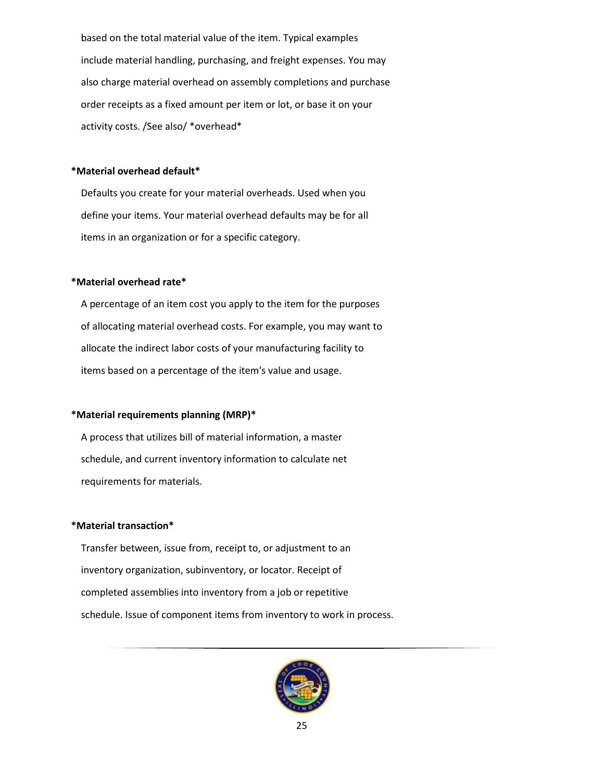based on the total material value of the item. Typical examples include material handling, purchasing, and freight expenses. You may also charge material overhead on assembly completions and purchase order receipts as a fixed amount per item or lot, or base it on your activity costs. /See also/ \*overhead\*

## **\*Material overhead default\***

 Defaults you create for your material overheads. Used when you define your items. Your material overhead defaults may be for all items in an organization or for a specific category.

### **\*Material overhead rate\***

 A percentage of an item cost you apply to the item for the purposes of allocating material overhead costs. For example, you may want to allocate the indirect labor costs of your manufacturing facility to items based on a percentage of the item's value and usage.

#### **\*Material requirements planning (MRP)\***

 A process that utilizes bill of material information, a master schedule, and current inventory information to calculate net requirements for materials.

#### **\*Material transaction\***

 Transfer between, issue from, receipt to, or adjustment to an inventory organization, subinventory, or locator. Receipt of completed assemblies into inventory from a job or repetitive schedule. Issue of component items from inventory to work in process.

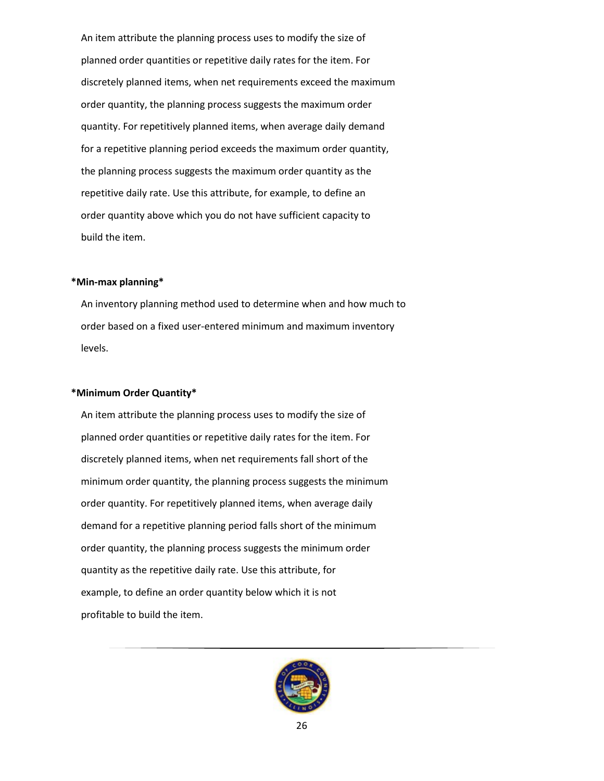An item attribute the planning process uses to modify the size of planned order quantities or repetitive daily rates for the item. For discretely planned items, when net requirements exceed the maximum order quantity, the planning process suggests the maximum order quantity. For repetitively planned items, when average daily demand for a repetitive planning period exceeds the maximum order quantity, the planning process suggests the maximum order quantity as the repetitive daily rate. Use this attribute, for example, to define an order quantity above which you do not have sufficient capacity to build the item.

## **\*Min-max planning\***

 An inventory planning method used to determine when and how much to order based on a fixed user-entered minimum and maximum inventory levels.

#### **\*Minimum Order Quantity\***

 An item attribute the planning process uses to modify the size of planned order quantities or repetitive daily rates for the item. For discretely planned items, when net requirements fall short of the minimum order quantity, the planning process suggests the minimum order quantity. For repetitively planned items, when average daily demand for a repetitive planning period falls short of the minimum order quantity, the planning process suggests the minimum order quantity as the repetitive daily rate. Use this attribute, for example, to define an order quantity below which it is not profitable to build the item.

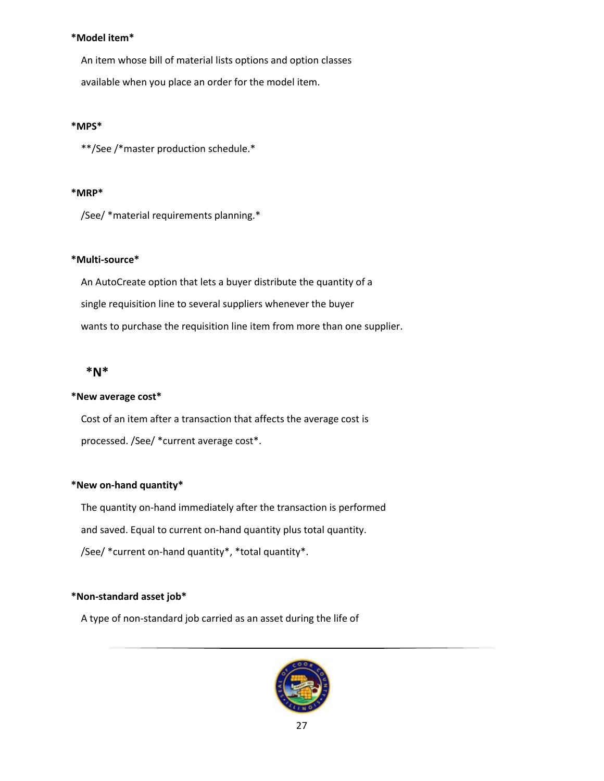### **\*Model item\***

 An item whose bill of material lists options and option classes available when you place an order for the model item.

### **\*MPS\***

\*\*/See /\*master production schedule.\*

### **\*MRP\***

/See/ \*material requirements planning.\*

## **\*Multi-source\***

 An AutoCreate option that lets a buyer distribute the quantity of a single requisition line to several suppliers whenever the buyer wants to purchase the requisition line item from more than one supplier.

# <span id="page-26-0"></span>**\*N\***

## **\*New average cost\***

 Cost of an item after a transaction that affects the average cost is processed. /See/ \*current average cost\*.

## **\*New on-hand quantity\***

 The quantity on-hand immediately after the transaction is performed and saved. Equal to current on-hand quantity plus total quantity. /See/ \*current on-hand quantity\*, \*total quantity\*.

## **\*Non-standard asset job\***

A type of non-standard job carried as an asset during the life of

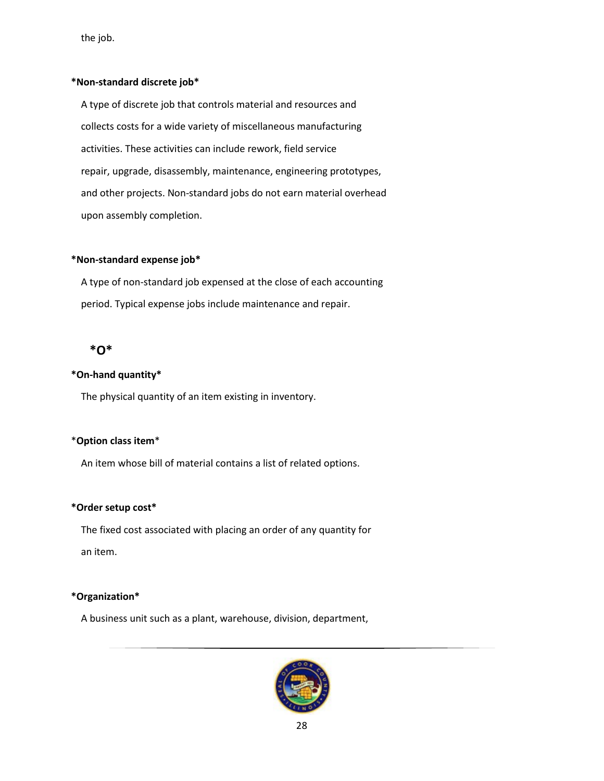the job.

## **\*Non-standard discrete job\***

 A type of discrete job that controls material and resources and collects costs for a wide variety of miscellaneous manufacturing activities. These activities can include rework, field service repair, upgrade, disassembly, maintenance, engineering prototypes, and other projects. Non-standard jobs do not earn material overhead upon assembly completion.

## **\*Non-standard expense job\***

 A type of non-standard job expensed at the close of each accounting period. Typical expense jobs include maintenance and repair.

# <span id="page-27-0"></span> **\*O\***

### **\*On-hand quantity\***

The physical quantity of an item existing in inventory.

#### \***Option class item**\*

An item whose bill of material contains a list of related options.

## **\*Order setup cost\***

 The fixed cost associated with placing an order of any quantity for an item.

## **\*Organization\***

A business unit such as a plant, warehouse, division, department,

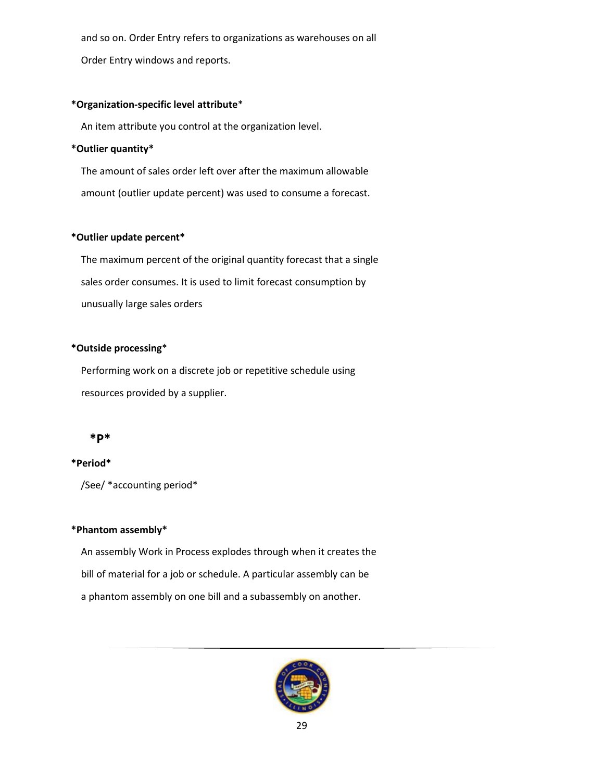and so on. Order Entry refers to organizations as warehouses on all

Order Entry windows and reports.

## **\*Organization-specific level attribute**\*

An item attribute you control at the organization level.

## **\*Outlier quantity\***

 The amount of sales order left over after the maximum allowable amount (outlier update percent) was used to consume a forecast.

### **\*Outlier update percent\***

 The maximum percent of the original quantity forecast that a single sales order consumes. It is used to limit forecast consumption by unusually large sales orders

## **\*Outside processing**\*

 Performing work on a discrete job or repetitive schedule using resources provided by a supplier.

## <span id="page-28-0"></span> **\*P\***

## **\*Period\***

/See/ \*accounting period\*

### **\*Phantom assembly\***

 An assembly Work in Process explodes through when it creates the bill of material for a job or schedule. A particular assembly can be a phantom assembly on one bill and a subassembly on another.

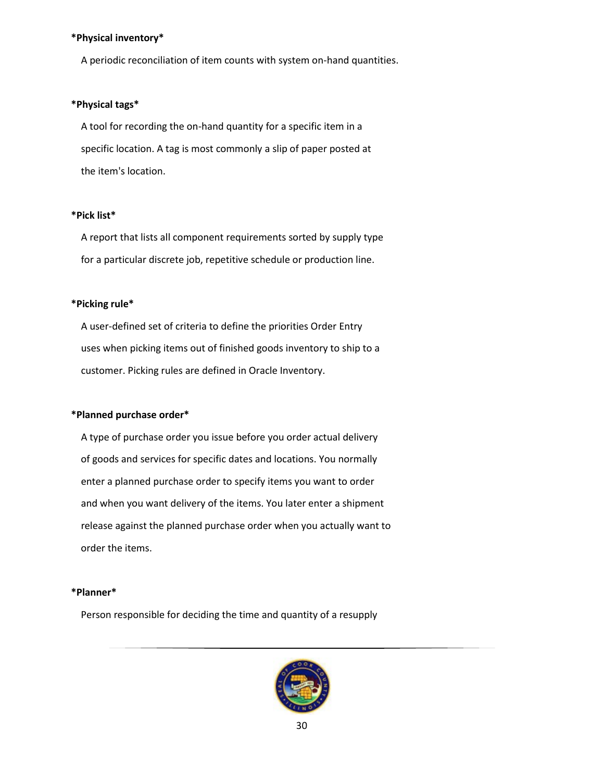#### **\*Physical inventory\***

A periodic reconciliation of item counts with system on-hand quantities.

### **\*Physical tags\***

 A tool for recording the on-hand quantity for a specific item in a specific location. A tag is most commonly a slip of paper posted at the item's location.

#### **\*Pick list\***

 A report that lists all component requirements sorted by supply type for a particular discrete job, repetitive schedule or production line.

## **\*Picking rule\***

 A user-defined set of criteria to define the priorities Order Entry uses when picking items out of finished goods inventory to ship to a customer. Picking rules are defined in Oracle Inventory.

#### **\*Planned purchase order\***

 A type of purchase order you issue before you order actual delivery of goods and services for specific dates and locations. You normally enter a planned purchase order to specify items you want to order and when you want delivery of the items. You later enter a shipment release against the planned purchase order when you actually want to order the items.

#### **\*Planner\***

Person responsible for deciding the time and quantity of a resupply

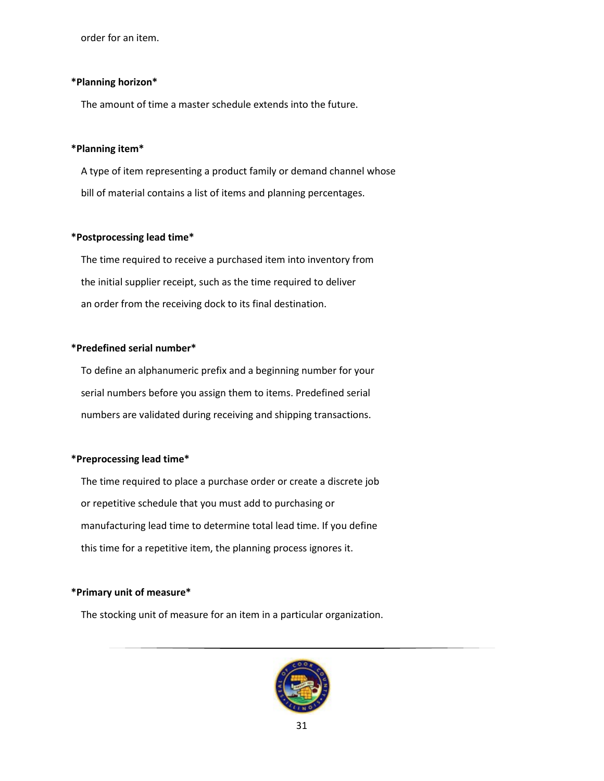order for an item.

#### **\*Planning horizon\***

The amount of time a master schedule extends into the future.

#### **\*Planning item\***

 A type of item representing a product family or demand channel whose bill of material contains a list of items and planning percentages.

#### **\*Postprocessing lead time\***

 The time required to receive a purchased item into inventory from the initial supplier receipt, such as the time required to deliver an order from the receiving dock to its final destination.

#### **\*Predefined serial number\***

 To define an alphanumeric prefix and a beginning number for your serial numbers before you assign them to items. Predefined serial numbers are validated during receiving and shipping transactions.

#### **\*Preprocessing lead time\***

 The time required to place a purchase order or create a discrete job or repetitive schedule that you must add to purchasing or manufacturing lead time to determine total lead time. If you define this time for a repetitive item, the planning process ignores it.

#### **\*Primary unit of measure\***

The stocking unit of measure for an item in a particular organization.

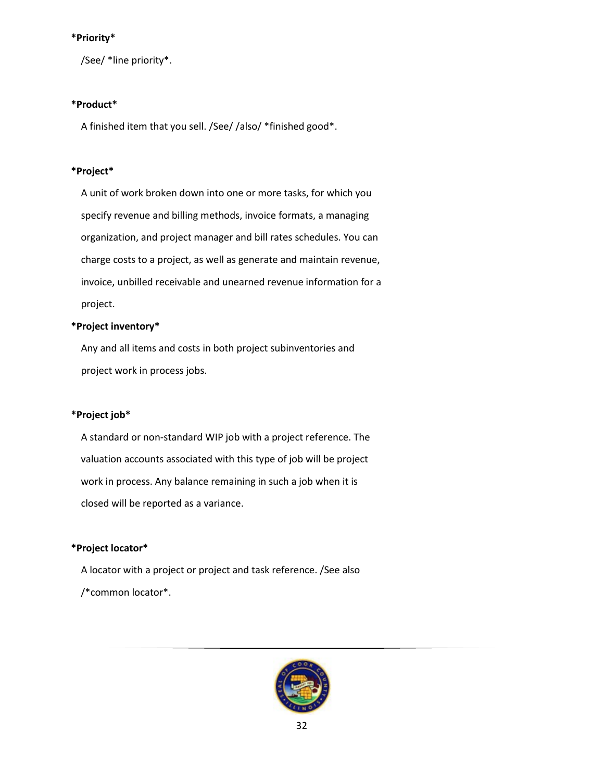## **\*Priority\***

/See/ \*line priority\*.

## **\*Product\***

A finished item that you sell. /See/ /also/ \*finished good\*.

## **\*Project\***

 A unit of work broken down into one or more tasks, for which you specify revenue and billing methods, invoice formats, a managing organization, and project manager and bill rates schedules. You can charge costs to a project, as well as generate and maintain revenue, invoice, unbilled receivable and unearned revenue information for a project.

## **\*Project inventory\***

 Any and all items and costs in both project subinventories and project work in process jobs.

## **\*Project job\***

 A standard or non-standard WIP job with a project reference. The valuation accounts associated with this type of job will be project work in process. Any balance remaining in such a job when it is closed will be reported as a variance.

# **\*Project locator\***

 A locator with a project or project and task reference. /See also /\*common locator\*.

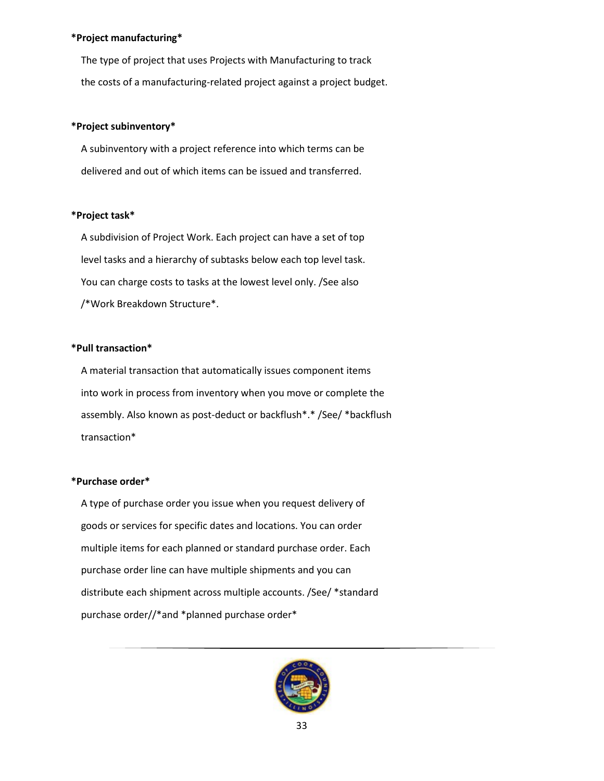#### **\*Project manufacturing\***

 The type of project that uses Projects with Manufacturing to track the costs of a manufacturing-related project against a project budget.

## **\*Project subinventory\***

 A subinventory with a project reference into which terms can be delivered and out of which items can be issued and transferred.

## **\*Project task\***

 A subdivision of Project Work. Each project can have a set of top level tasks and a hierarchy of subtasks below each top level task. You can charge costs to tasks at the lowest level only. /See also /\*Work Breakdown Structure\*.

## **\*Pull transaction\***

 A material transaction that automatically issues component items into work in process from inventory when you move or complete the assembly. Also known as post-deduct or backflush\*.\* /See/ \*backflush transaction\*

## **\*Purchase order\***

 A type of purchase order you issue when you request delivery of goods or services for specific dates and locations. You can order multiple items for each planned or standard purchase order. Each purchase order line can have multiple shipments and you can distribute each shipment across multiple accounts. /See/ \*standard purchase order//\*and \*planned purchase order\*

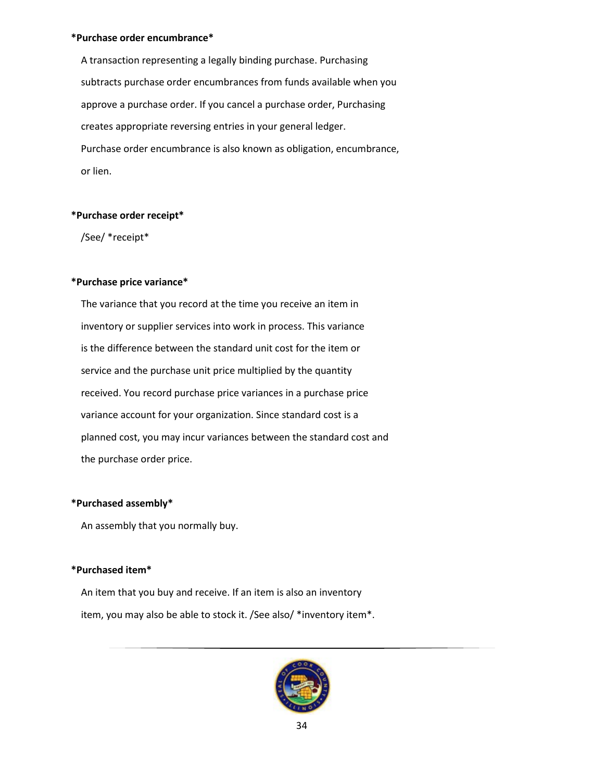#### **\*Purchase order encumbrance\***

 A transaction representing a legally binding purchase. Purchasing subtracts purchase order encumbrances from funds available when you approve a purchase order. If you cancel a purchase order, Purchasing creates appropriate reversing entries in your general ledger. Purchase order encumbrance is also known as obligation, encumbrance, or lien.

#### **\*Purchase order receipt\***

/See/ \*receipt\*

### **\*Purchase price variance\***

 The variance that you record at the time you receive an item in inventory or supplier services into work in process. This variance is the difference between the standard unit cost for the item or service and the purchase unit price multiplied by the quantity received. You record purchase price variances in a purchase price variance account for your organization. Since standard cost is a planned cost, you may incur variances between the standard cost and the purchase order price.

#### **\*Purchased assembly\***

An assembly that you normally buy.

## **\*Purchased item\***

 An item that you buy and receive. If an item is also an inventory item, you may also be able to stock it. /See also/ \*inventory item\*.

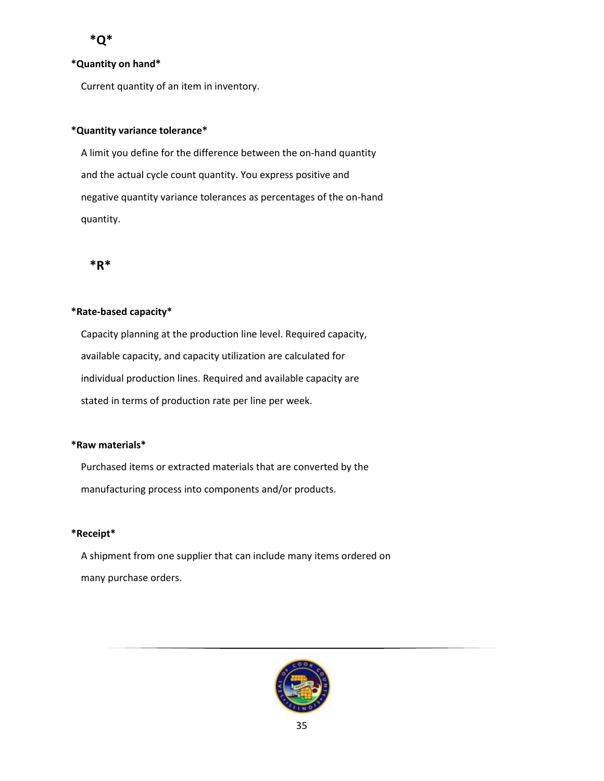## <span id="page-34-0"></span>**\*Quantity on hand\***

Current quantity of an item in inventory.

## **\*Quantity variance tolerance\***

 A limit you define for the difference between the on-hand quantity and the actual cycle count quantity. You express positive and negative quantity variance tolerances as percentages of the on-hand quantity.

<span id="page-34-1"></span>

## **\*Rate-based capacity\***

 Capacity planning at the production line level. Required capacity, available capacity, and capacity utilization are calculated for individual production lines. Required and available capacity are stated in terms of production rate per line per week.

#### **\*Raw materials\***

 Purchased items or extracted materials that are converted by the manufacturing process into components and/or products.

## **\*Receipt\***

 A shipment from one supplier that can include many items ordered on many purchase orders.

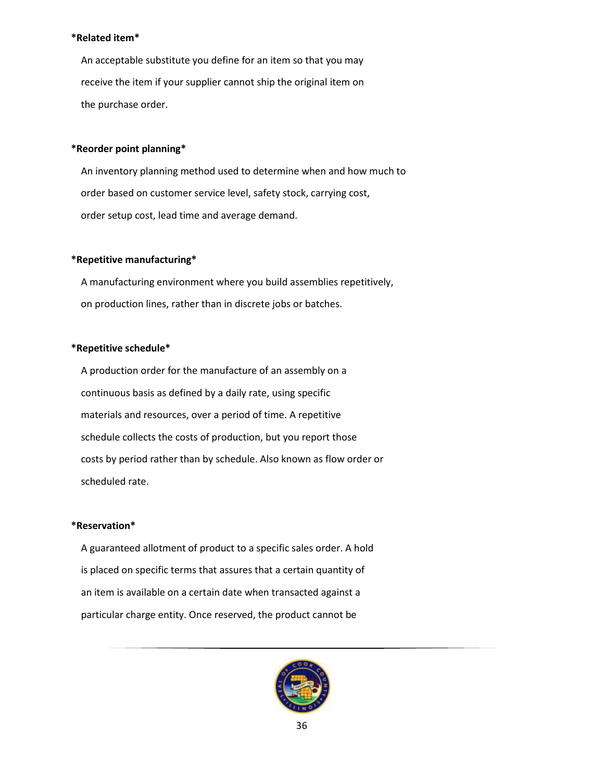#### **\*Related item\***

 An acceptable substitute you define for an item so that you may receive the item if your supplier cannot ship the original item on the purchase order.

## **\*Reorder point planning\***

 An inventory planning method used to determine when and how much to order based on customer service level, safety stock, carrying cost, order setup cost, lead time and average demand.

## **\*Repetitive manufacturing\***

 A manufacturing environment where you build assemblies repetitively, on production lines, rather than in discrete jobs or batches.

### **\*Repetitive schedule\***

 A production order for the manufacture of an assembly on a continuous basis as defined by a daily rate, using specific materials and resources, over a period of time. A repetitive schedule collects the costs of production, but you report those costs by period rather than by schedule. Also known as flow order or scheduled rate.

#### **\*Reservation\***

 A guaranteed allotment of product to a specific sales order. A hold is placed on specific terms that assures that a certain quantity of an item is available on a certain date when transacted against a particular charge entity. Once reserved, the product cannot be

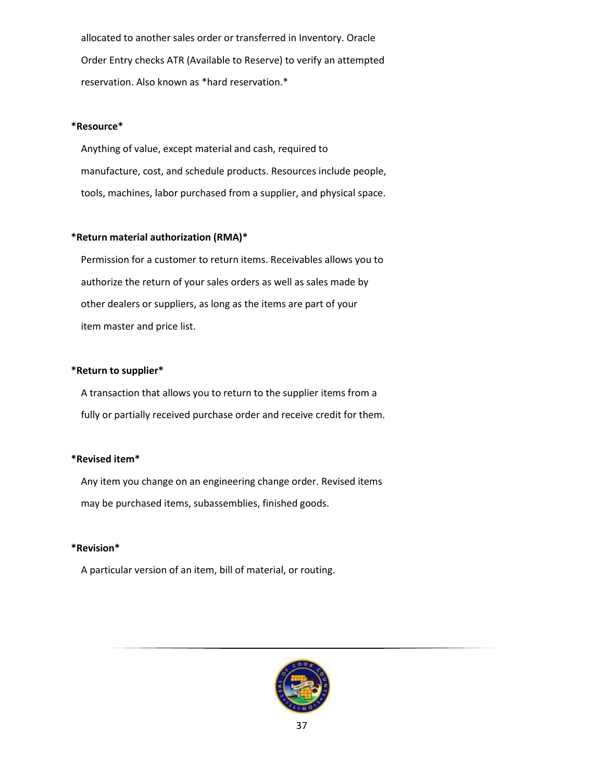allocated to another sales order or transferred in Inventory. Oracle Order Entry checks ATR (Available to Reserve) to verify an attempted reservation. Also known as \*hard reservation.\*

### **\*Resource\***

 Anything of value, except material and cash, required to manufacture, cost, and schedule products. Resources include people, tools, machines, labor purchased from a supplier, and physical space.

## **\*Return material authorization (RMA)\***

 Permission for a customer to return items. Receivables allows you to authorize the return of your sales orders as well as sales made by other dealers or suppliers, as long as the items are part of your item master and price list.

## **\*Return to supplier\***

 A transaction that allows you to return to the supplier items from a fully or partially received purchase order and receive credit for them.

#### **\*Revised item\***

 Any item you change on an engineering change order. Revised items may be purchased items, subassemblies, finished goods.

## **\*Revision\***

A particular version of an item, bill of material, or routing.

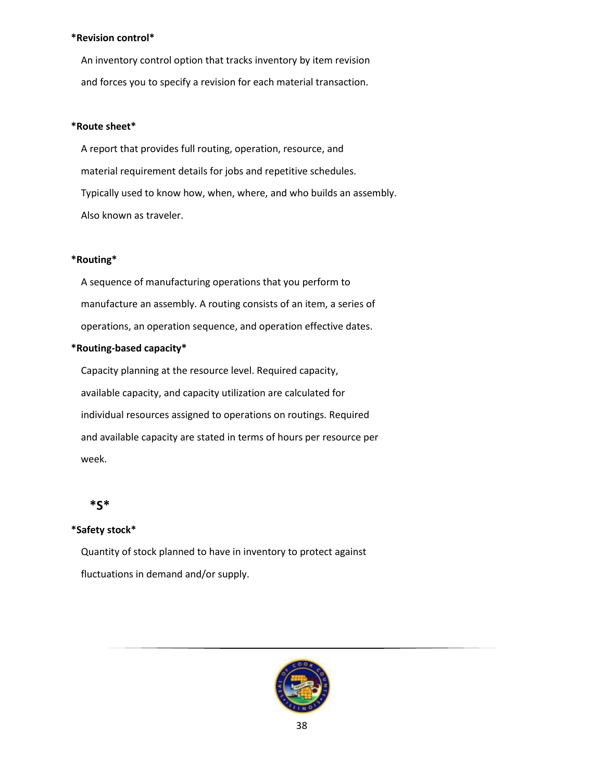#### **\*Revision control\***

 An inventory control option that tracks inventory by item revision and forces you to specify a revision for each material transaction.

#### **\*Route sheet\***

 A report that provides full routing, operation, resource, and material requirement details for jobs and repetitive schedules. Typically used to know how, when, where, and who builds an assembly. Also known as traveler.

#### **\*Routing\***

 A sequence of manufacturing operations that you perform to manufacture an assembly. A routing consists of an item, a series of operations, an operation sequence, and operation effective dates.

#### **\*Routing-based capacity\***

 Capacity planning at the resource level. Required capacity, available capacity, and capacity utilization are calculated for individual resources assigned to operations on routings. Required and available capacity are stated in terms of hours per resource per week.

# <span id="page-37-0"></span> **\*S\***

#### **\*Safety stock\***

 Quantity of stock planned to have in inventory to protect against fluctuations in demand and/or supply.

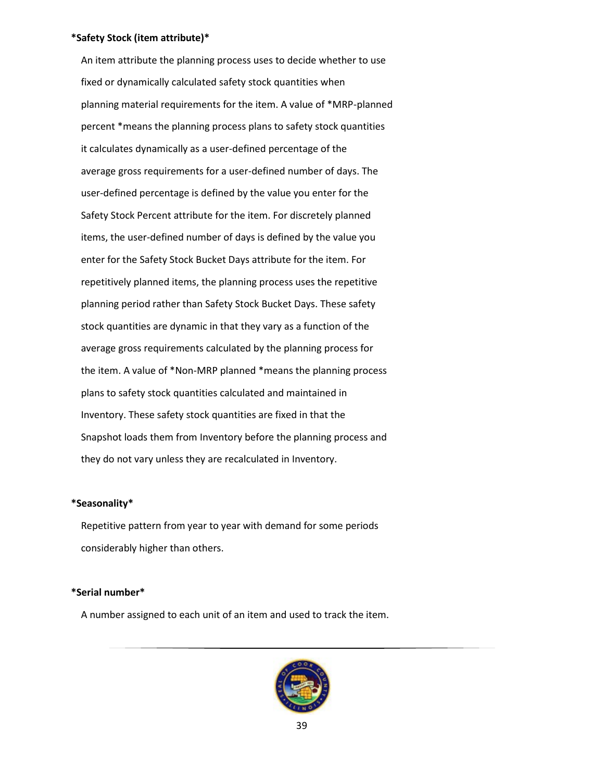#### **\*Safety Stock (item attribute)\***

 An item attribute the planning process uses to decide whether to use fixed or dynamically calculated safety stock quantities when planning material requirements for the item. A value of \*MRP-planned percent \*means the planning process plans to safety stock quantities it calculates dynamically as a user-defined percentage of the average gross requirements for a user-defined number of days. The user-defined percentage is defined by the value you enter for the Safety Stock Percent attribute for the item. For discretely planned items, the user-defined number of days is defined by the value you enter for the Safety Stock Bucket Days attribute for the item. For repetitively planned items, the planning process uses the repetitive planning period rather than Safety Stock Bucket Days. These safety stock quantities are dynamic in that they vary as a function of the average gross requirements calculated by the planning process for the item. A value of \*Non-MRP planned \*means the planning process plans to safety stock quantities calculated and maintained in Inventory. These safety stock quantities are fixed in that the Snapshot loads them from Inventory before the planning process and they do not vary unless they are recalculated in Inventory.

### **\*Seasonality\***

 Repetitive pattern from year to year with demand for some periods considerably higher than others.

#### **\*Serial number\***

A number assigned to each unit of an item and used to track the item.

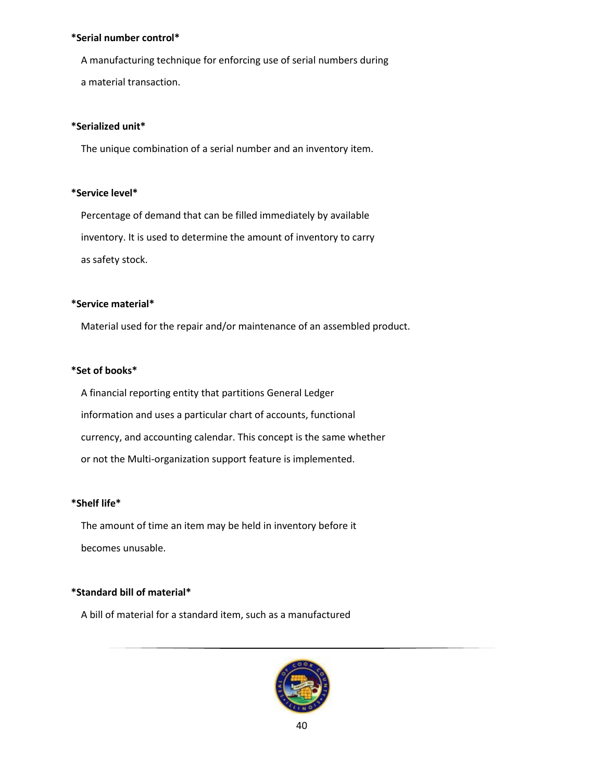#### **\*Serial number control\***

A manufacturing technique for enforcing use of serial numbers during

# a material transaction.

## **\*Serialized unit\***

The unique combination of a serial number and an inventory item.

## **\*Service level\***

 Percentage of demand that can be filled immediately by available inventory. It is used to determine the amount of inventory to carry as safety stock.

## **\*Service material\***

Material used for the repair and/or maintenance of an assembled product.

## **\*Set of books\***

 A financial reporting entity that partitions General Ledger information and uses a particular chart of accounts, functional currency, and accounting calendar. This concept is the same whether or not the Multi-organization support feature is implemented.

## **\*Shelf life\***

 The amount of time an item may be held in inventory before it becomes unusable.

# **\*Standard bill of material\***

A bill of material for a standard item, such as a manufactured

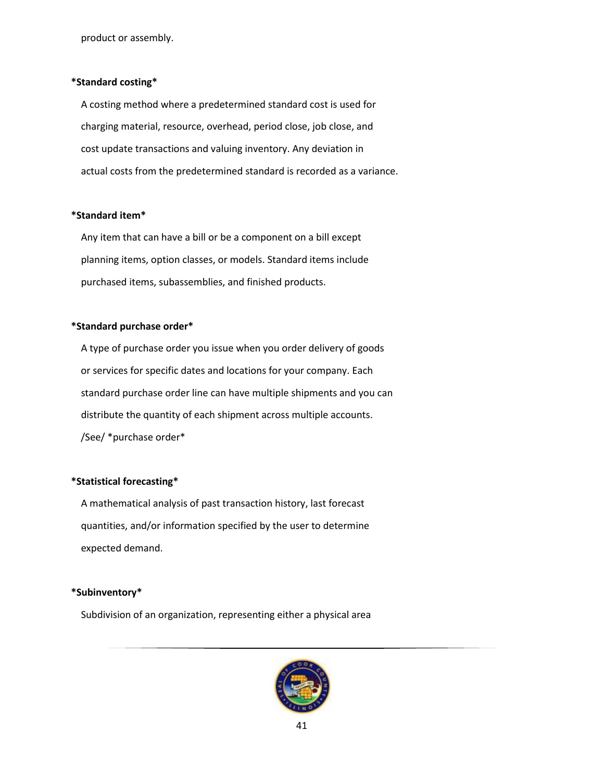product or assembly.

#### **\*Standard costing\***

 A costing method where a predetermined standard cost is used for charging material, resource, overhead, period close, job close, and cost update transactions and valuing inventory. Any deviation in actual costs from the predetermined standard is recorded as a variance.

### **\*Standard item\***

 Any item that can have a bill or be a component on a bill except planning items, option classes, or models. Standard items include purchased items, subassemblies, and finished products.

### **\*Standard purchase order\***

 A type of purchase order you issue when you order delivery of goods or services for specific dates and locations for your company. Each standard purchase order line can have multiple shipments and you can distribute the quantity of each shipment across multiple accounts. /See/ \*purchase order\*

## **\*Statistical forecasting\***

 A mathematical analysis of past transaction history, last forecast quantities, and/or information specified by the user to determine expected demand.

### **\*Subinventory\***

Subdivision of an organization, representing either a physical area

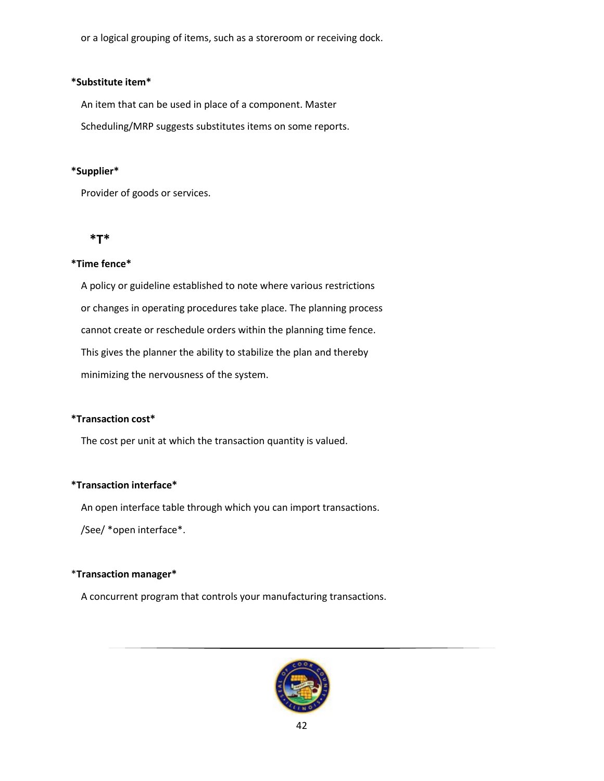or a logical grouping of items, such as a storeroom or receiving dock.

### **\*Substitute item\***

An item that can be used in place of a component. Master

Scheduling/MRP suggests substitutes items on some reports.

## **\*Supplier\***

Provider of goods or services.

## <span id="page-41-0"></span> **\*T\***

## **\*Time fence\***

 A policy or guideline established to note where various restrictions or changes in operating procedures take place. The planning process cannot create or reschedule orders within the planning time fence. This gives the planner the ability to stabilize the plan and thereby minimizing the nervousness of the system.

## **\*Transaction cost\***

The cost per unit at which the transaction quantity is valued.

## **\*Transaction interface\***

An open interface table through which you can import transactions.

/See/ \*open interface\*.

## \***Transaction manager\***

A concurrent program that controls your manufacturing transactions.

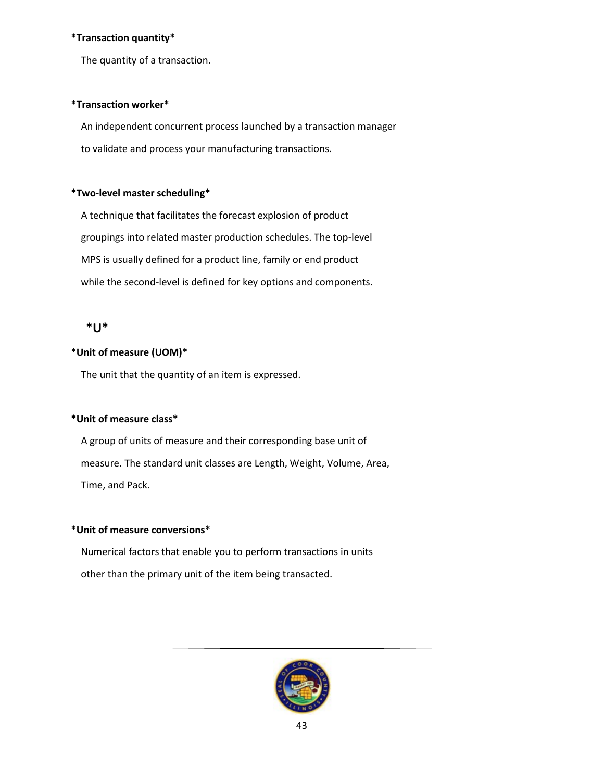## **\*Transaction quantity\***

The quantity of a transaction.

### **\*Transaction worker\***

 An independent concurrent process launched by a transaction manager to validate and process your manufacturing transactions.

## **\*Two-level master scheduling\***

 A technique that facilitates the forecast explosion of product groupings into related master production schedules. The top-level MPS is usually defined for a product line, family or end product while the second-level is defined for key options and components.

## <span id="page-42-0"></span>**\*U\***

## \***Unit of measure (UOM)\***

The unit that the quantity of an item is expressed.

## **\*Unit of measure class\***

 A group of units of measure and their corresponding base unit of measure. The standard unit classes are Length, Weight, Volume, Area, Time, and Pack.

#### **\*Unit of measure conversions\***

 Numerical factors that enable you to perform transactions in units other than the primary unit of the item being transacted.

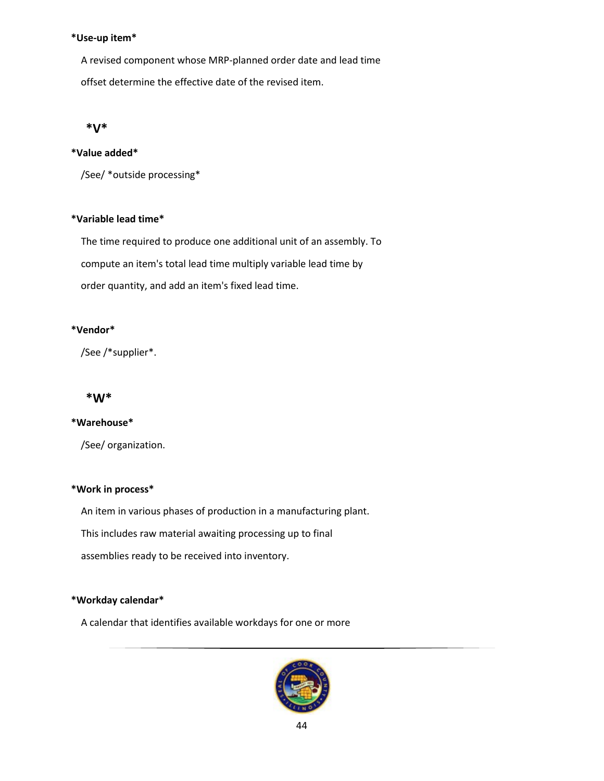### **\*Use-up item\***

 A revised component whose MRP-planned order date and lead time offset determine the effective date of the revised item.

## <span id="page-43-0"></span>**\*V\***

## **\*Value added\***

/See/ \*outside processing\*

## **\*Variable lead time\***

 The time required to produce one additional unit of an assembly. To compute an item's total lead time multiply variable lead time by order quantity, and add an item's fixed lead time.

## **\*Vendor\***

/See /\*supplier\*.

## <span id="page-43-1"></span>**\*W\***

## **\*Warehouse\***

/See/ organization.

## **\*Work in process\***

An item in various phases of production in a manufacturing plant.

This includes raw material awaiting processing up to final

assemblies ready to be received into inventory.

## **\*Workday calendar\***

A calendar that identifies available workdays for one or more